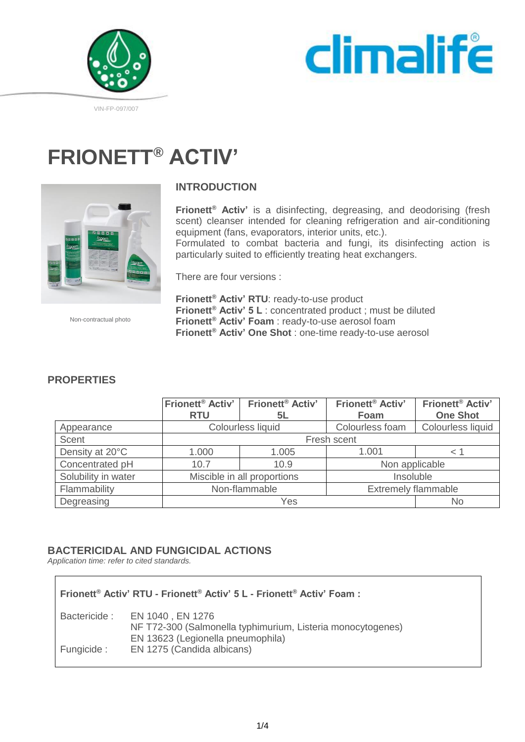



#### VIN-FP-097/007

# **FRIONETT® ACTIV'**



### **INTRODUCTION**

**Frionett® Activ'** is a disinfecting, degreasing, and deodorising (fresh scent) cleanser intended for cleaning refrigeration and air-conditioning equipment (fans, evaporators, interior units, etc.). Formulated to combat bacteria and fungi, its disinfecting action is particularly suited to efficiently treating heat exchangers.

There are four versions :

Non-contractual photo

**Frionett® Activ' RTU**: ready-to-use product **Frionett® Activ' 5 L** : concentrated product ; must be diluted **Frionett® Activ' Foam** : ready-to-use aerosol foam **Frionett® Activ' One Shot** : one-time ready-to-use aerosol

|                     | Frionett <sup>®</sup> Activ' | Frionett <sup>®</sup> Activ' | Frionett <sup>®</sup> Activ' | <b>Frionett<sup>®</sup></b> Activ' |
|---------------------|------------------------------|------------------------------|------------------------------|------------------------------------|
|                     | <b>RTU</b>                   | 5L                           | Foam                         | <b>One Shot</b>                    |
| Appearance          | Colourless liquid            |                              | Colourless foam              | Colourless liquid                  |
| Scent               | Fresh scent                  |                              |                              |                                    |
| Density at 20°C     | 1.000                        | 1.005                        | 1.001                        |                                    |
| Concentrated pH     | 10.7                         | 10.9                         | Non applicable               |                                    |
| Solubility in water | Miscible in all proportions  |                              | Insoluble                    |                                    |
| Flammability        | Non-flammable                |                              | <b>Extremely flammable</b>   |                                    |
| Degreasing          | Yes                          |                              |                              | No                                 |

### **PROPERTIES**

### **BACTERICIDAL AND FUNGICIDAL ACTIONS**

*Application time: refer to cited standards.*

#### **Frionett® Activ' RTU - Frionett® Activ' 5 L - Frionett® Activ' Foam :**

| Bactericide : | EN 1040 , EN 1276                                           |
|---------------|-------------------------------------------------------------|
|               | NF T72-300 (Salmonella typhimurium, Listeria monocytogenes) |
|               | EN 13623 (Legionella pneumophila)                           |
| Fungicide :   | EN 1275 (Candida albicans)                                  |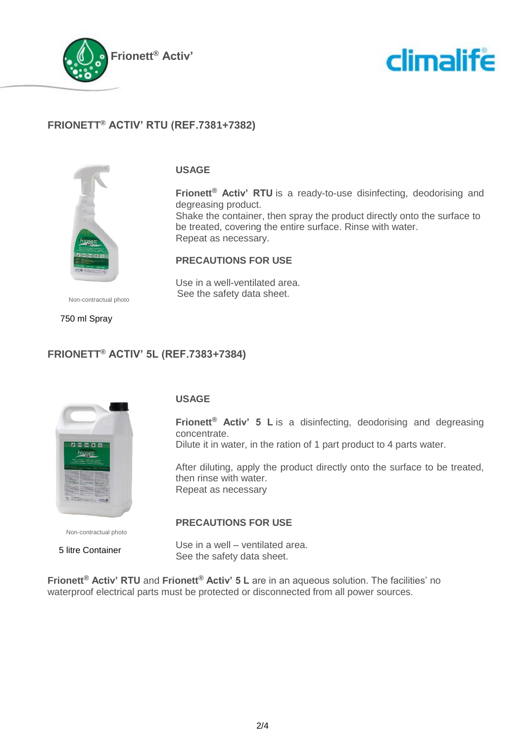



## **FRIONETT® ACTIV' RTU (REF.7381+7382)**



#### **USAGE**

**Frionett® Activ' RTU** is a ready-to-use disinfecting, deodorising and degreasing product.

Shake the container, then spray the product directly onto the surface to be treated, covering the entire surface. Rinse with water. Repeat as necessary.

#### **PRECAUTIONS FOR USE**

Use in a well-ventilated area. See the safety data sheet.

Non-contractual photo

750 ml Spray

## **FRIONETT® ACTIV' 5L (REF.7383+7384)**



Non-contractual photo

5 litre Container

#### **USAGE**

**Frionett® Activ' 5 L** is a disinfecting, deodorising and degreasing concentrate. Dilute it in water, in the ration of 1 part product to 4 parts water.

After diluting, apply the product directly onto the surface to be treated, then rinse with water. Repeat as necessary

#### **PRECAUTIONS FOR USE**

Use in a well – ventilated area. See the safety data sheet.

**Frionett® Activ' RTU** and **Frionett® Activ' 5 L** are in an aqueous solution. The facilities' no waterproof electrical parts must be protected or disconnected from all power sources.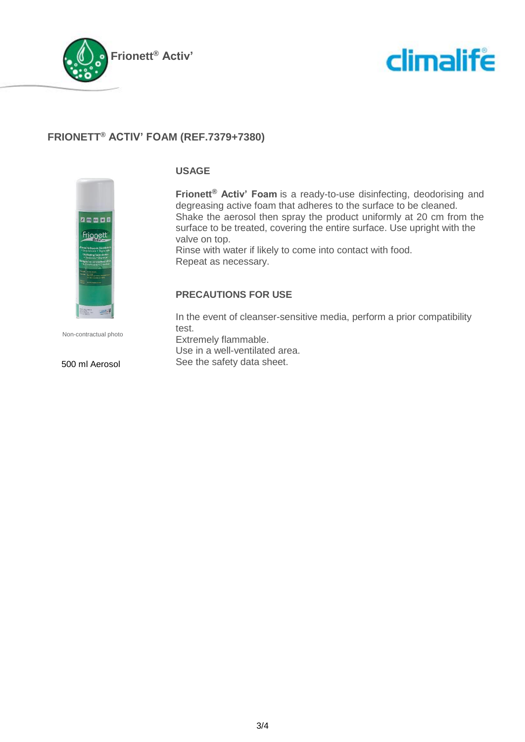



## **FRIONETT® ACTIV' FOAM (REF.7379+7380)**



Non-contractual photo

#### 500 ml Aerosol

#### **USAGE**

**Frionett® Activ' Foam** is a ready-to-use disinfecting, deodorising and degreasing active foam that adheres to the surface to be cleaned. Shake the aerosol then spray the product uniformly at 20 cm from the surface to be treated, covering the entire surface. Use upright with the valve on top.

Rinse with water if likely to come into contact with food. Repeat as necessary.

#### **PRECAUTIONS FOR USE**

In the event of cleanser-sensitive media, perform a prior compatibility test. Extremely flammable. Use in a well-ventilated area.

See the safety data sheet.